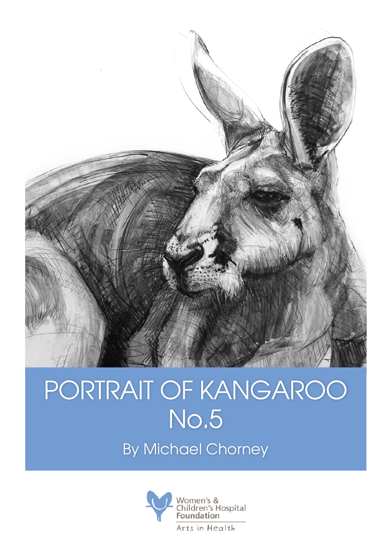

## PORTRAIT OF KANGAROO No.5

By Michael Chorney

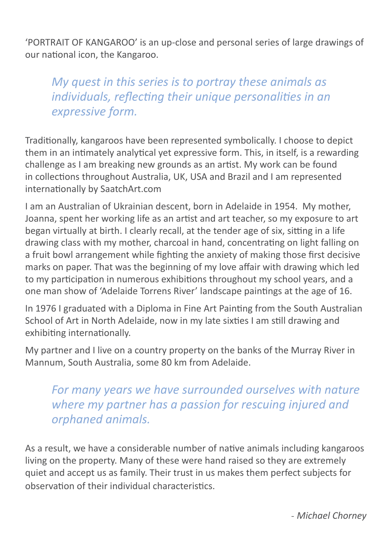'PORTRAIT OF KANGAROO' is an up-close and personal series of large drawings of our national icon, the Kangaroo.

*My quest in this series is to portray these animals as individuals, reflecting their unique personalities in an expressive form.* 

Traditionally, kangaroos have been represented symbolically. I choose to depict them in an intimately analytical yet expressive form. This, in itself, is a rewarding challenge as I am breaking new grounds as an artist. My work can be found in collections throughout Australia, UK, USA and Brazil and I am represented internationally by SaatchArt.com

I am an Australian of Ukrainian descent, born in Adelaide in 1954. My mother, Joanna, spent her working life as an artist and art teacher, so my exposure to art began virtually at birth. I clearly recall, at the tender age of six, sitting in a life drawing class with my mother, charcoal in hand, concentrating on light falling on a fruit bowl arrangement while fighting the anxiety of making those first decisive marks on paper. That was the beginning of my love affair with drawing which led to my participation in numerous exhibitions throughout my school years, and a one man show of 'Adelaide Torrens River' landscape paintings at the age of 16.

In 1976 I graduated with a Diploma in Fine Art Painting from the South Australian School of Art in North Adelaide, now in my late sixties I am still drawing and exhibiting internationally.

My partner and I live on a country property on the banks of the Murray River in Mannum, South Australia, some 80 km from Adelaide.

*For many years we have surrounded ourselves with nature where my partner has a passion for rescuing injured and orphaned animals.* 

As a result, we have a considerable number of native animals including kangaroos living on the property. Many of these were hand raised so they are extremely quiet and accept us as family. Their trust in us makes them perfect subjects for observation of their individual characteristics.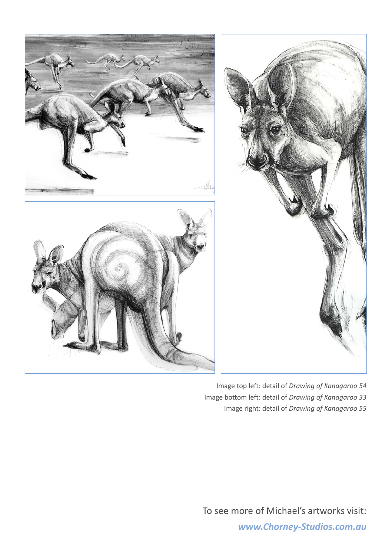

Image top left: detail of *Drawing of Kanagaroo 54* Image bottom left: detail of *Drawing of Kanagaroo 33* Image right: detail of *Drawing of Kanagaroo 55*

To see more of Michael's artworks visit:

*www.Chorney-Studios.com.au*